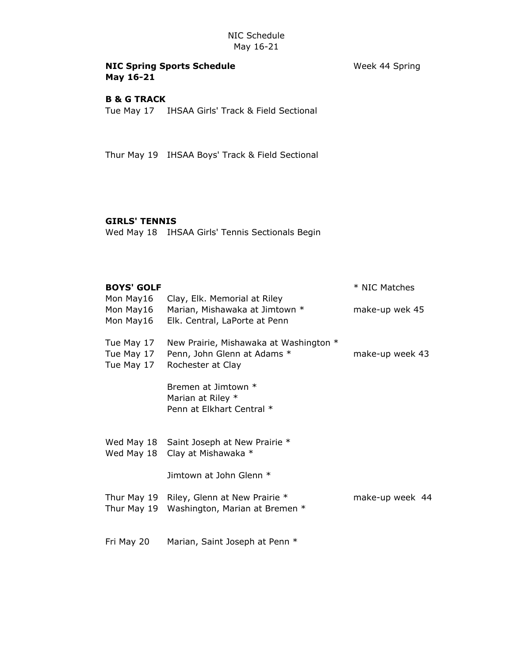## NIC Spring Sports Schedule Week 44 Spring May 16-21

### B & G TRACK

Tue May 17 IHSAA Girls' Track & Field Sectional

Thur May 19 IHSAA Boys' Track & Field Sectional

## GIRLS' TENNIS

Wed May 18 IHSAA Girls' Tennis Sectionals Begin

| <b>BOYS' GOLF</b>                      |                                                                                                 | * NIC Matches   |
|----------------------------------------|-------------------------------------------------------------------------------------------------|-----------------|
| Mon May16<br>Mon May16<br>Mon May16    | Clay, Elk. Memorial at Riley<br>Marian, Mishawaka at Jimtown *<br>Elk. Central, LaPorte at Penn | make-up wek 45  |
| Tue May 17<br>Tue May 17<br>Tue May 17 | New Prairie, Mishawaka at Washington *<br>Penn, John Glenn at Adams *<br>Rochester at Clay      | make-up week 43 |
|                                        | Bremen at Jimtown *<br>Marian at Riley *<br>Penn at Elkhart Central *                           |                 |
| Wed May 18                             | Wed May 18 Saint Joseph at New Prairie *<br>Clay at Mishawaka *                                 |                 |
|                                        | Jimtown at John Glenn *                                                                         |                 |
| Thur May 19<br>Thur May 19             | Riley, Glenn at New Prairie *<br>Washington, Marian at Bremen *                                 | make-up week 44 |
| Fri May 20                             | Marian, Saint Joseph at Penn *                                                                  |                 |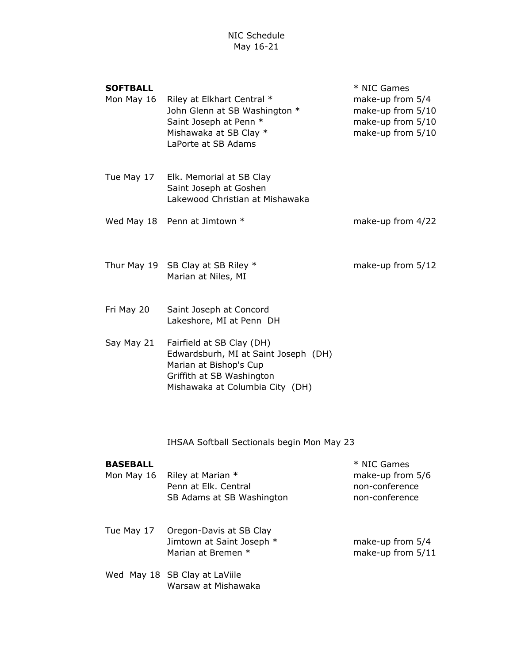NIC Schedule May 16-21

#### SOFTBALL  $*$  NIC Games

| Mon May 16 Riley at Elkhart Central * | make-up from 5/4  |
|---------------------------------------|-------------------|
| John Glenn at SB Washington *         | make-up from 5/10 |
| Saint Joseph at Penn *                | make-up from 5/10 |
| Mishawaka at SB Clay *                | make-up from 5/10 |
| LaPorte at SB Adams                   |                   |

- Tue May 17 Elk. Memorial at SB Clay Saint Joseph at Goshen Lakewood Christian at Mishawaka
- Wed May 18 Penn at Jimtown \* The make-up from 4/22
- Thur May 19 SB Clay at SB Riley \* make-up from 5/12 Marian at Niles, MI
- Fri May 20 Saint Joseph at Concord Lakeshore, MI at Penn DH
- Say May 21 Fairfield at SB Clay (DH) Edwardsburh, MI at Saint Joseph (DH) Marian at Bishop's Cup Griffith at SB Washington Mishawaka at Columbia City (DH)

IHSAA Softball Sectionals begin Mon May 23

#### **BASEBALL Example 20 and 20 and 30 and 30 and 30 and 30 and 30 and 30 and 30 and 30 and 30 and 30 and 30 and 30 and 30 and 30 and 30 and 30 and 30 and 30 and 30 and 30 and 30 and 30 and 30 and 30 and 30 and 30 and 30 and**

- Mon May 16 Riley at Marian \* The Marke-up from 5/6 Penn at Elk. Central non-conference SB Adams at SB Washington non-conference
- Tue May 17 Oregon-Davis at SB Clay Jimtown at Saint Joseph \* make-up from 5/4 Marian at Bremen \* make-up from 5/11
- Wed May 18 SB Clay at LaViile Warsaw at Mishawaka